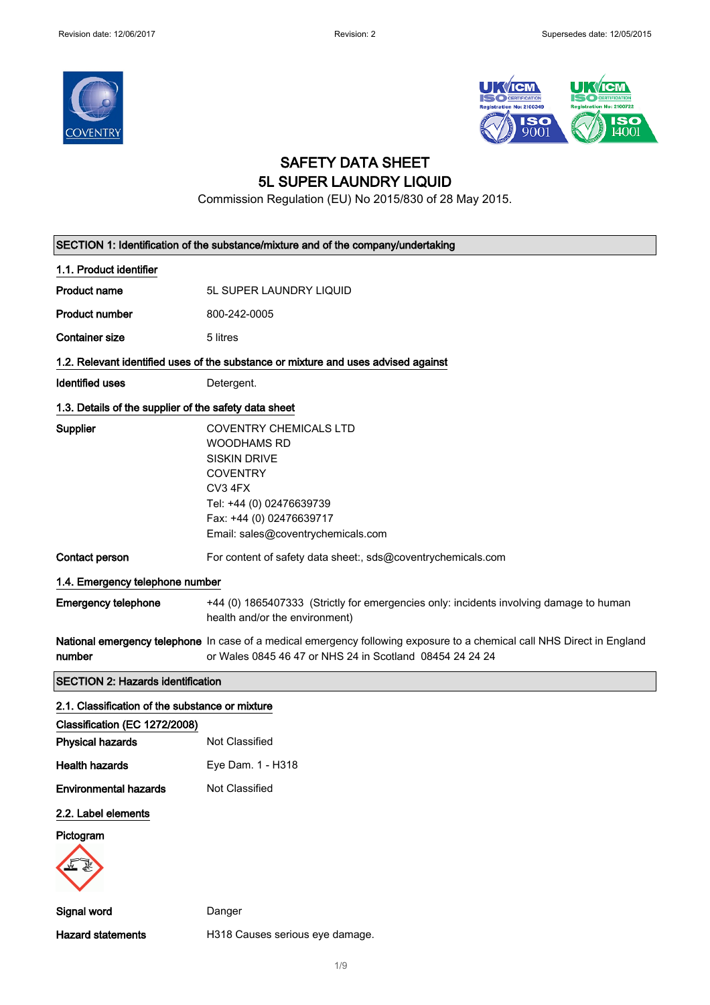



### SAFETY DATA SHEET 5L SUPER LAUNDRY LIQUID

Commission Regulation (EU) No 2015/830 of 28 May 2015.

| SECTION 1: Identification of the substance/mixture and of the company/undertaking |                                                                                                                                                                                                        |  |
|-----------------------------------------------------------------------------------|--------------------------------------------------------------------------------------------------------------------------------------------------------------------------------------------------------|--|
| 1.1. Product identifier                                                           |                                                                                                                                                                                                        |  |
| <b>Product name</b>                                                               | 5L SUPER LAUNDRY LIQUID                                                                                                                                                                                |  |
| <b>Product number</b>                                                             | 800-242-0005                                                                                                                                                                                           |  |
| <b>Container size</b>                                                             | 5 litres                                                                                                                                                                                               |  |
|                                                                                   | 1.2. Relevant identified uses of the substance or mixture and uses advised against                                                                                                                     |  |
| <b>Identified uses</b>                                                            | Detergent.                                                                                                                                                                                             |  |
| 1.3. Details of the supplier of the safety data sheet                             |                                                                                                                                                                                                        |  |
| Supplier                                                                          | <b>COVENTRY CHEMICALS LTD</b><br><b>WOODHAMS RD</b><br><b>SISKIN DRIVE</b><br><b>COVENTRY</b><br>CV3 4FX<br>Tel: +44 (0) 02476639739<br>Fax: +44 (0) 02476639717<br>Email: sales@coventrychemicals.com |  |
| <b>Contact person</b>                                                             | For content of safety data sheet:, sds@coventrychemicals.com                                                                                                                                           |  |
| 1.4. Emergency telephone number                                                   |                                                                                                                                                                                                        |  |
| <b>Emergency telephone</b>                                                        | +44 (0) 1865407333 (Strictly for emergencies only: incidents involving damage to human<br>health and/or the environment)                                                                               |  |
| number                                                                            | National emergency telephone In case of a medical emergency following exposure to a chemical call NHS Direct in England<br>or Wales 0845 46 47 or NHS 24 in Scotland 08454 24 24 24                    |  |
| <b>SECTION 2: Hazards identification</b>                                          |                                                                                                                                                                                                        |  |
| 2.1. Classification of the substance or mixture                                   |                                                                                                                                                                                                        |  |
| Classification (EC 1272/2008)                                                     |                                                                                                                                                                                                        |  |
| <b>Physical hazards</b>                                                           | Not Classified                                                                                                                                                                                         |  |
| <b>Health hazards</b>                                                             | Eye Dam. 1 - H318                                                                                                                                                                                      |  |
| <b>Environmental hazards</b>                                                      | Not Classified                                                                                                                                                                                         |  |
| 2.2. Label elements                                                               |                                                                                                                                                                                                        |  |
| Pictogram                                                                         |                                                                                                                                                                                                        |  |
| Signal word                                                                       | Danger                                                                                                                                                                                                 |  |
| <b>Hazard statements</b>                                                          | H318 Causes serious eye damage.                                                                                                                                                                        |  |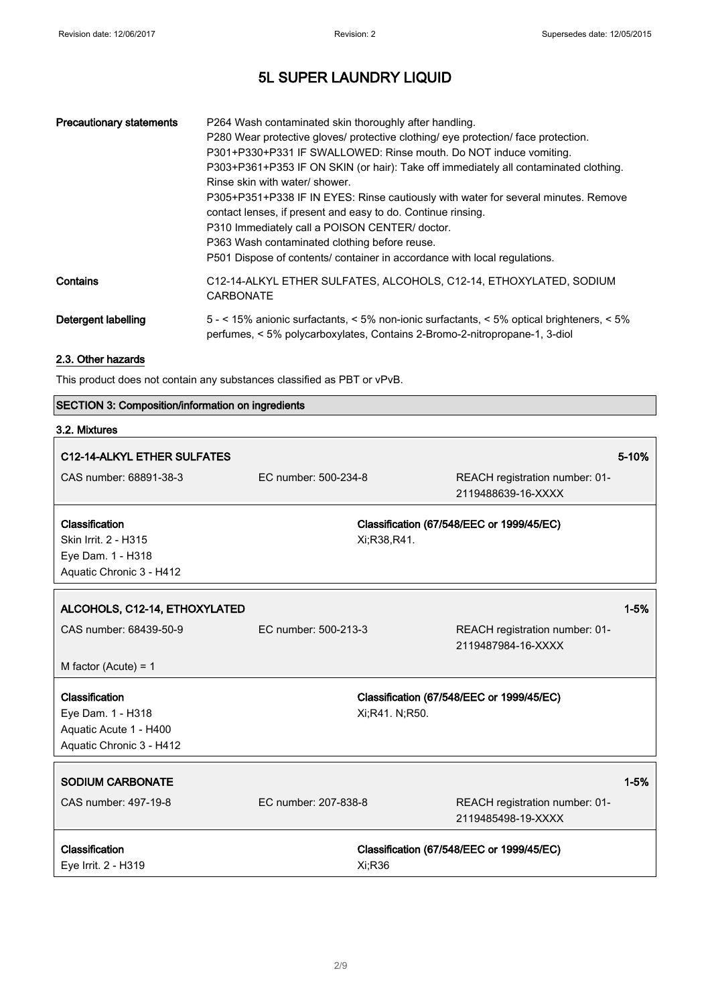٦

# 5L SUPER LAUNDRY LIQUID

| <b>Precautionary statements</b> | P264 Wash contaminated skin thoroughly after handling.<br>P280 Wear protective gloves/ protective clothing/ eye protection/ face protection.<br>P301+P330+P331 IF SWALLOWED: Rinse mouth. Do NOT induce vomiting.<br>P303+P361+P353 IF ON SKIN (or hair): Take off immediately all contaminated clothing.<br>Rinse skin with water/ shower.<br>P305+P351+P338 IF IN EYES: Rinse cautiously with water for several minutes. Remove<br>contact lenses, if present and easy to do. Continue rinsing.<br>P310 Immediately call a POISON CENTER/ doctor.<br>P363 Wash contaminated clothing before reuse.<br>P501 Dispose of contents/ container in accordance with local regulations. |
|---------------------------------|-----------------------------------------------------------------------------------------------------------------------------------------------------------------------------------------------------------------------------------------------------------------------------------------------------------------------------------------------------------------------------------------------------------------------------------------------------------------------------------------------------------------------------------------------------------------------------------------------------------------------------------------------------------------------------------|
| Contains                        | C12-14-ALKYL ETHER SULFATES, ALCOHOLS, C12-14, ETHOXYLATED, SODIUM<br><b>CARBONATE</b>                                                                                                                                                                                                                                                                                                                                                                                                                                                                                                                                                                                            |
| Detergent labelling             | 5 - < 15% anionic surfactants, < 5% non-ionic surfactants, < 5% optical brighteners, < 5%<br>perfumes, < 5% polycarboxylates, Contains 2-Bromo-2-nitropropane-1, 3-diol                                                                                                                                                                                                                                                                                                                                                                                                                                                                                                           |

### 2.3. Other hazards

This product does not contain any substances classified as PBT or vPvB.

#### SECTION 3: Composition/information on ingredients

# 3.2. Mixtures

| C12-14-ALKYL ETHER SULFATES                   |                      |                |                                                      | 5-10%    |
|-----------------------------------------------|----------------------|----------------|------------------------------------------------------|----------|
| CAS number: 68891-38-3                        | EC number: 500-234-8 |                | REACH registration number: 01-<br>2119488639-16-XXXX |          |
|                                               |                      |                |                                                      |          |
| <b>Classification</b>                         |                      |                | Classification (67/548/EEC or 1999/45/EC)            |          |
| Skin Irrit. 2 - H315                          |                      | Xi:R38,R41.    |                                                      |          |
| Eye Dam. 1 - H318<br>Aquatic Chronic 3 - H412 |                      |                |                                                      |          |
|                                               |                      |                |                                                      |          |
| ALCOHOLS, C12-14, ETHOXYLATED                 |                      |                |                                                      | $1 - 5%$ |
| CAS number: 68439-50-9                        | EC number: 500-213-3 |                | REACH registration number: 01-                       |          |
|                                               |                      |                | 2119487984-16-XXXX                                   |          |
| M factor (Acute) = $1$                        |                      |                |                                                      |          |
| Classification                                |                      |                | Classification (67/548/EEC or 1999/45/EC)            |          |
| Eye Dam. 1 - H318                             |                      | Xi;R41. N;R50. |                                                      |          |
| Aquatic Acute 1 - H400                        |                      |                |                                                      |          |
| Aquatic Chronic 3 - H412                      |                      |                |                                                      |          |
|                                               |                      |                |                                                      |          |
| <b>SODIUM CARBONATE</b>                       |                      |                |                                                      | $1 - 5%$ |
| CAS number: 497-19-8                          | EC number: 207-838-8 |                | REACH registration number: 01-<br>2119485498-19-XXXX |          |
| Classification                                |                      |                | Classification (67/548/EEC or 1999/45/EC)            |          |
| Eye Irrit. 2 - H319                           |                      | Xi;R36         |                                                      |          |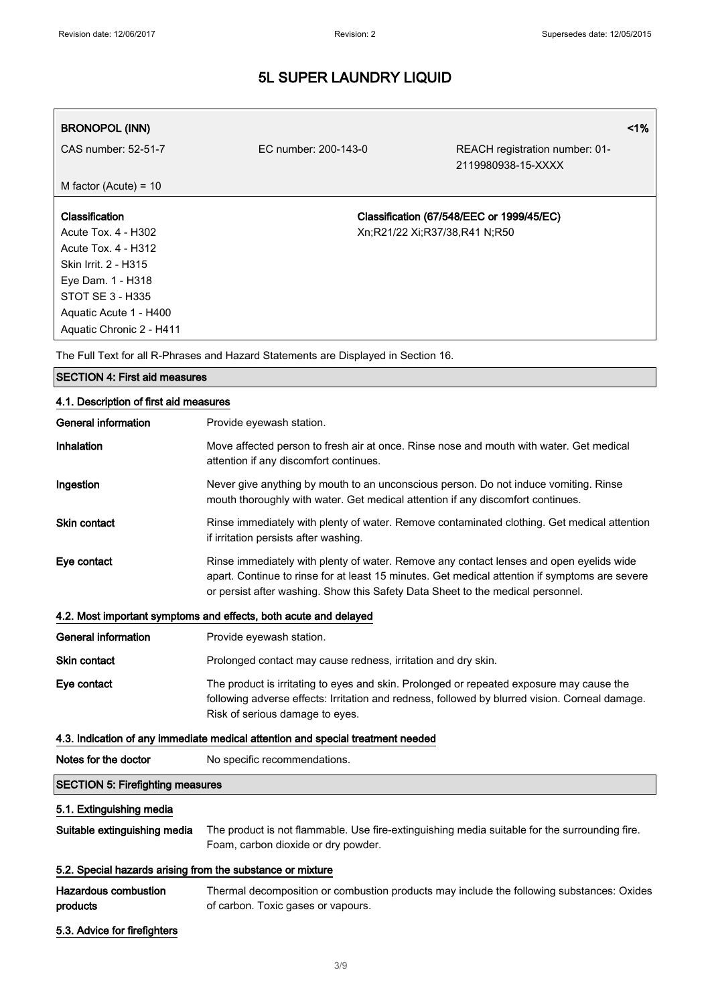| <b>BRONOPOL (INN)</b>    |                      | $1\%$                                                |
|--------------------------|----------------------|------------------------------------------------------|
| CAS number: 52-51-7      | EC number: 200-143-0 | REACH registration number: 01-<br>2119980938-15-XXXX |
| M factor (Acute) = $10$  |                      |                                                      |
| Classification           |                      | Classification (67/548/EEC or 1999/45/EC)            |
| Acute Tox. 4 - H302      |                      | Xn;R21/22 Xi;R37/38,R41 N;R50                        |
| Acute Tox. 4 - H312      |                      |                                                      |
| Skin Irrit. 2 - H315     |                      |                                                      |
| Eye Dam. 1 - H318        |                      |                                                      |
| STOT SE 3 - H335         |                      |                                                      |
| Aquatic Acute 1 - H400   |                      |                                                      |
| Aquatic Chronic 2 - H411 |                      |                                                      |

The Full Text for all R-Phrases and Hazard Statements are Displayed in Section 16.

# SECTION 4: First aid measures 4.1. Description of first aid measures General information **Provide eyewash station.** Inhalation **Move affected person to fresh air at once.** Rinse nose and mouth with water. Get medical attention if any discomfort continues. Ingestion Never give anything by mouth to an unconscious person. Do not induce vomiting. Rinse mouth thoroughly with water. Get medical attention if any discomfort continues. Skin contact **Rinse immediately with plenty of water.** Remove contaminated clothing. Get medical attention if irritation persists after washing. Eye contact Rinse immediately with plenty of water. Remove any contact lenses and open eyelids wide apart. Continue to rinse for at least 15 minutes. Get medical attention if symptoms are severe or persist after washing. Show this Safety Data Sheet to the medical personnel. 4.2. Most important symptoms and effects, both acute and delayed General information **Provide eyewash station.** Skin contact **Prolonged contact may cause redness, irritation and dry skin.** Eye contact The product is irritating to eyes and skin. Prolonged or repeated exposure may cause the following adverse effects: Irritation and redness, followed by blurred vision. Corneal damage. Risk of serious damage to eyes. 4.3. Indication of any immediate medical attention and special treatment needed Notes for the doctor No specific recommendations. SECTION 5: Firefighting measures 5.1. Extinguishing media Suitable extinguishing media The product is not flammable. Use fire-extinguishing media suitable for the surrounding fire.

#### 5.2. Special hazards arising from the substance or mixture

| Hazardous combustion | Thermal decomposition or combustion products may include the following substances: Oxides |
|----------------------|-------------------------------------------------------------------------------------------|
| products             | of carbon. Toxic gases or vapours.                                                        |

Foam, carbon dioxide or dry powder.

5.3. Advice for firefighters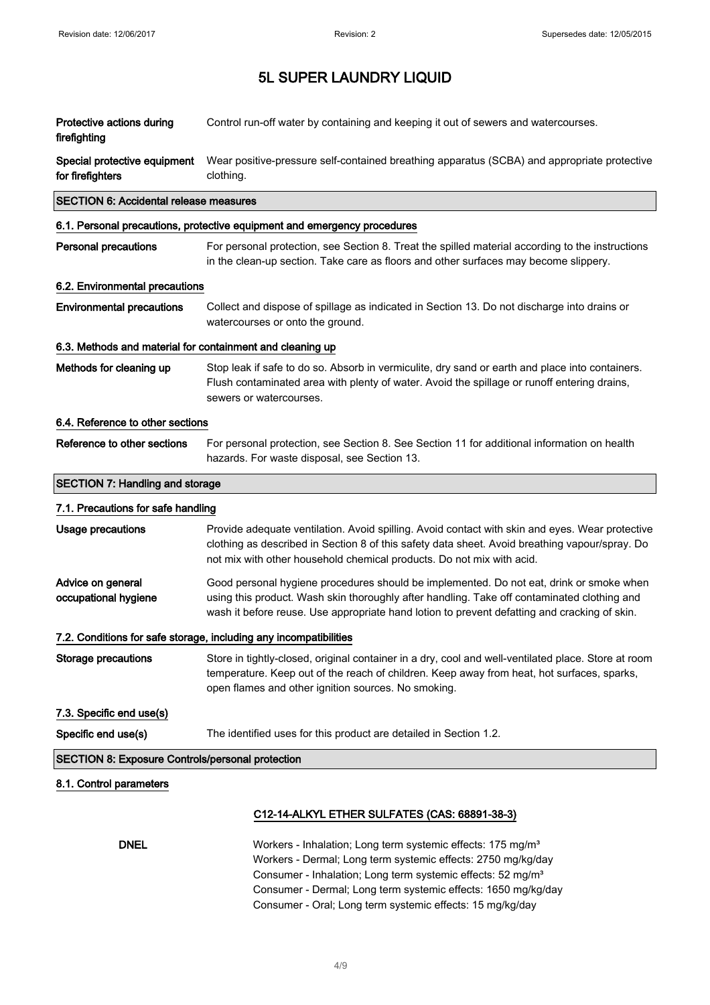| Protective actions during<br>firefighting                 | Control run-off water by containing and keeping it out of sewers and watercourses.                                                                                                                                                                                                     |
|-----------------------------------------------------------|----------------------------------------------------------------------------------------------------------------------------------------------------------------------------------------------------------------------------------------------------------------------------------------|
| Special protective equipment<br>for firefighters          | Wear positive-pressure self-contained breathing apparatus (SCBA) and appropriate protective<br>clothing.                                                                                                                                                                               |
| <b>SECTION 6: Accidental release measures</b>             |                                                                                                                                                                                                                                                                                        |
|                                                           | 6.1. Personal precautions, protective equipment and emergency procedures                                                                                                                                                                                                               |
| <b>Personal precautions</b>                               | For personal protection, see Section 8. Treat the spilled material according to the instructions<br>in the clean-up section. Take care as floors and other surfaces may become slippery.                                                                                               |
| 6.2. Environmental precautions                            |                                                                                                                                                                                                                                                                                        |
| <b>Environmental precautions</b>                          | Collect and dispose of spillage as indicated in Section 13. Do not discharge into drains or<br>watercourses or onto the ground.                                                                                                                                                        |
| 6.3. Methods and material for containment and cleaning up |                                                                                                                                                                                                                                                                                        |
| Methods for cleaning up                                   | Stop leak if safe to do so. Absorb in vermiculite, dry sand or earth and place into containers.<br>Flush contaminated area with plenty of water. Avoid the spillage or runoff entering drains,<br>sewers or watercourses.                                                              |
| 6.4. Reference to other sections                          |                                                                                                                                                                                                                                                                                        |
| Reference to other sections                               | For personal protection, see Section 8. See Section 11 for additional information on health<br>hazards. For waste disposal, see Section 13.                                                                                                                                            |
| <b>SECTION 7: Handling and storage</b>                    |                                                                                                                                                                                                                                                                                        |
| 7.1. Precautions for safe handling                        |                                                                                                                                                                                                                                                                                        |
| Usage precautions                                         | Provide adequate ventilation. Avoid spilling. Avoid contact with skin and eyes. Wear protective<br>clothing as described in Section 8 of this safety data sheet. Avoid breathing vapour/spray. Do<br>not mix with other household chemical products. Do not mix with acid.             |
| Advice on general<br>occupational hygiene                 | Good personal hygiene procedures should be implemented. Do not eat, drink or smoke when<br>using this product. Wash skin thoroughly after handling. Take off contaminated clothing and<br>wash it before reuse. Use appropriate hand lotion to prevent defatting and cracking of skin. |
|                                                           | 7.2. Conditions for safe storage, including any incompatibilities                                                                                                                                                                                                                      |
| <b>Storage precautions</b>                                | Store in tightly-closed, original container in a dry, cool and well-ventilated place. Store at room<br>temperature. Keep out of the reach of children. Keep away from heat, hot surfaces, sparks,<br>open flames and other ignition sources. No smoking.                               |
| 7.3. Specific end use(s)                                  |                                                                                                                                                                                                                                                                                        |
| Specific end use(s)                                       | The identified uses for this product are detailed in Section 1.2.                                                                                                                                                                                                                      |
| <b>SECTION 8: Exposure Controls/personal protection</b>   |                                                                                                                                                                                                                                                                                        |
| 8.1. Control parameters                                   |                                                                                                                                                                                                                                                                                        |
|                                                           | C12-14-ALKYL ETHER SULFATES (CAS: 68891-38-3)                                                                                                                                                                                                                                          |
| <b>DNEL</b>                                               | Workers - Inhalation; Long term systemic effects: 175 mg/m <sup>3</sup><br>Workers - Dermal; Long term systemic effects: 2750 mg/kg/day<br>Consumer - Inhalation; Long term systemic effects: 52 mg/m <sup>3</sup>                                                                     |

Consumer - Dermal; Long term systemic effects: 1650 mg/kg/day Consumer - Oral; Long term systemic effects: 15 mg/kg/day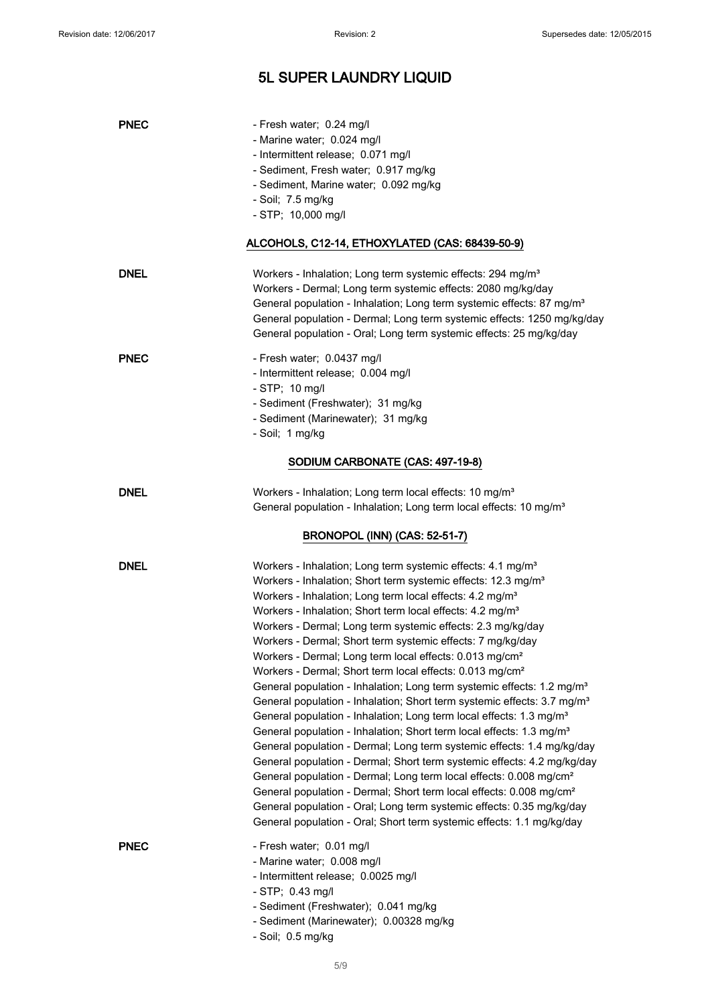| <b>PNEC</b> | - Fresh water; 0.24 mg/l<br>- Marine water; 0.024 mg/l<br>- Intermittent release; 0.071 mg/l<br>- Sediment, Fresh water; 0.917 mg/kg<br>- Sediment, Marine water; 0.092 mg/kg<br>- Soil; 7.5 mg/kg<br>- STP; 10,000 mg/l<br>ALCOHOLS, C12-14, ETHOXYLATED (CAS: 68439-50-9)                                                                                                                                                                                                                                                                                                                                                                                                                                                                                                                                                                                                                                                                                                                                                                                                                                                                                                                                                                                                                                                                                                                                       |
|-------------|-------------------------------------------------------------------------------------------------------------------------------------------------------------------------------------------------------------------------------------------------------------------------------------------------------------------------------------------------------------------------------------------------------------------------------------------------------------------------------------------------------------------------------------------------------------------------------------------------------------------------------------------------------------------------------------------------------------------------------------------------------------------------------------------------------------------------------------------------------------------------------------------------------------------------------------------------------------------------------------------------------------------------------------------------------------------------------------------------------------------------------------------------------------------------------------------------------------------------------------------------------------------------------------------------------------------------------------------------------------------------------------------------------------------|
| <b>DNEL</b> | Workers - Inhalation; Long term systemic effects: 294 mg/m <sup>3</sup><br>Workers - Dermal; Long term systemic effects: 2080 mg/kg/day<br>General population - Inhalation; Long term systemic effects: 87 mg/m <sup>3</sup><br>General population - Dermal; Long term systemic effects: 1250 mg/kg/day<br>General population - Oral; Long term systemic effects: 25 mg/kg/day                                                                                                                                                                                                                                                                                                                                                                                                                                                                                                                                                                                                                                                                                                                                                                                                                                                                                                                                                                                                                                    |
| <b>PNEC</b> | - Fresh water; 0.0437 mg/l<br>- Intermittent release; 0.004 mg/l<br>$-$ STP; 10 mg/l<br>- Sediment (Freshwater); 31 mg/kg<br>- Sediment (Marinewater); 31 mg/kg<br>- Soil; 1 mg/kg                                                                                                                                                                                                                                                                                                                                                                                                                                                                                                                                                                                                                                                                                                                                                                                                                                                                                                                                                                                                                                                                                                                                                                                                                                |
|             | SODIUM CARBONATE (CAS: 497-19-8)                                                                                                                                                                                                                                                                                                                                                                                                                                                                                                                                                                                                                                                                                                                                                                                                                                                                                                                                                                                                                                                                                                                                                                                                                                                                                                                                                                                  |
| <b>DNEL</b> | Workers - Inhalation; Long term local effects: 10 mg/m <sup>3</sup><br>General population - Inhalation; Long term local effects: 10 mg/m <sup>3</sup>                                                                                                                                                                                                                                                                                                                                                                                                                                                                                                                                                                                                                                                                                                                                                                                                                                                                                                                                                                                                                                                                                                                                                                                                                                                             |
|             | <b>BRONOPOL (INN) (CAS: 52-51-7)</b>                                                                                                                                                                                                                                                                                                                                                                                                                                                                                                                                                                                                                                                                                                                                                                                                                                                                                                                                                                                                                                                                                                                                                                                                                                                                                                                                                                              |
| <b>DNEL</b> | Workers - Inhalation; Long term systemic effects: 4.1 mg/m <sup>3</sup><br>Workers - Inhalation; Short term systemic effects: 12.3 mg/m <sup>3</sup><br>Workers - Inhalation; Long term local effects: 4.2 mg/m <sup>3</sup><br>Workers - Inhalation; Short term local effects: 4.2 mg/m <sup>3</sup><br>Workers - Dermal; Long term systemic effects: 2.3 mg/kg/day<br>Workers - Dermal; Short term systemic effects: 7 mg/kg/day<br>Workers - Dermal; Long term local effects: 0.013 mg/cm <sup>2</sup><br>Workers - Dermal; Short term local effects: 0.013 mg/cm <sup>2</sup><br>General population - Inhalation; Long term systemic effects: 1.2 mg/m <sup>3</sup><br>General population - Inhalation; Short term systemic effects: 3.7 mg/m <sup>3</sup><br>General population - Inhalation; Long term local effects: 1.3 mg/m <sup>3</sup><br>General population - Inhalation; Short term local effects: 1.3 mg/m <sup>3</sup><br>General population - Dermal; Long term systemic effects: 1.4 mg/kg/day<br>General population - Dermal; Short term systemic effects: 4.2 mg/kg/day<br>General population - Dermal; Long term local effects: 0.008 mg/cm <sup>2</sup><br>General population - Dermal; Short term local effects: 0.008 mg/cm <sup>2</sup><br>General population - Oral; Long term systemic effects: 0.35 mg/kg/day<br>General population - Oral; Short term systemic effects: 1.1 mg/kg/day |
| <b>PNEC</b> | - Fresh water; 0.01 mg/l<br>- Marine water; 0.008 mg/l<br>- Intermittent release; 0.0025 mg/l<br>$-$ STP; 0.43 mg/l<br>- Sediment (Freshwater); 0.041 mg/kg<br>- Sediment (Marinewater); 0.00328 mg/kg<br>- Soil; 0.5 mg/kg                                                                                                                                                                                                                                                                                                                                                                                                                                                                                                                                                                                                                                                                                                                                                                                                                                                                                                                                                                                                                                                                                                                                                                                       |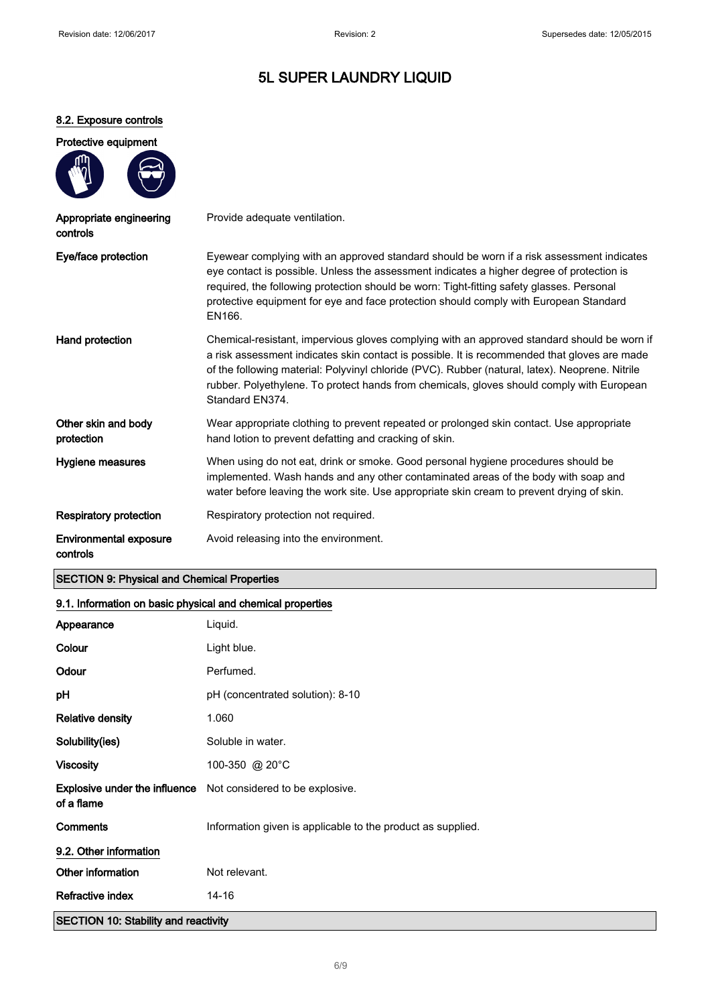#### 8.2. Exposure controls

| Protective equipment |  |
|----------------------|--|
|                      |  |

| Appropriate engineering<br>controls       | Provide adequate ventilation.                                                                                                                                                                                                                                                                                                                                                                                  |
|-------------------------------------------|----------------------------------------------------------------------------------------------------------------------------------------------------------------------------------------------------------------------------------------------------------------------------------------------------------------------------------------------------------------------------------------------------------------|
| Eye/face protection                       | Eyewear complying with an approved standard should be worn if a risk assessment indicates<br>eye contact is possible. Unless the assessment indicates a higher degree of protection is<br>required, the following protection should be worn: Tight-fitting safety glasses. Personal<br>protective equipment for eye and face protection should comply with European Standard<br>EN166.                         |
| Hand protection                           | Chemical-resistant, impervious gloves complying with an approved standard should be worn if<br>a risk assessment indicates skin contact is possible. It is recommended that gloves are made<br>of the following material: Polyvinyl chloride (PVC). Rubber (natural, latex). Neoprene. Nitrile<br>rubber. Polyethylene. To protect hands from chemicals, gloves should comply with European<br>Standard EN374. |
| Other skin and body<br>protection         | Wear appropriate clothing to prevent repeated or prolonged skin contact. Use appropriate<br>hand lotion to prevent defatting and cracking of skin.                                                                                                                                                                                                                                                             |
| Hygiene measures                          | When using do not eat, drink or smoke. Good personal hygiene procedures should be<br>implemented. Wash hands and any other contaminated areas of the body with soap and<br>water before leaving the work site. Use appropriate skin cream to prevent drying of skin.                                                                                                                                           |
| <b>Respiratory protection</b>             | Respiratory protection not required.                                                                                                                                                                                                                                                                                                                                                                           |
| <b>Environmental exposure</b><br>controls | Avoid releasing into the environment.                                                                                                                                                                                                                                                                                                                                                                          |

### SECTION 9: Physical and Chemical Properties

### 9.1. Information on basic physical and chemical properties

| Appearance                                  | Liquid.                                                              |
|---------------------------------------------|----------------------------------------------------------------------|
| Colour                                      | Light blue.                                                          |
| Odour                                       | Perfumed.                                                            |
| рH                                          | pH (concentrated solution): 8-10                                     |
| <b>Relative density</b>                     | 1.060                                                                |
| Solubility(ies)                             | Soluble in water.                                                    |
| <b>Viscosity</b>                            | 100-350 @ 20°C                                                       |
| of a flame                                  | <b>Explosive under the influence</b> Not considered to be explosive. |
| <b>Comments</b>                             | Information given is applicable to the product as supplied.          |
| 9.2. Other information                      |                                                                      |
| Other information                           | Not relevant.                                                        |
| Refractive index                            | $14 - 16$                                                            |
| <b>SECTION 10: Stability and reactivity</b> |                                                                      |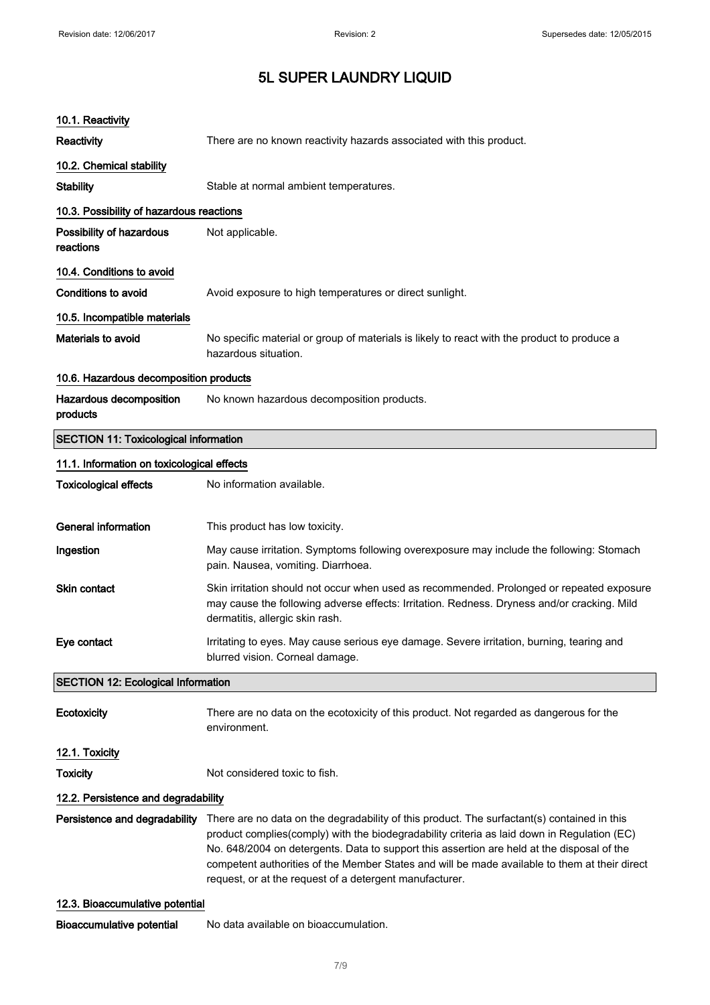| 10.1. Reactivity                             |                                                                                                                                                                                                                                                                                                                                                                                                                                                      |  |
|----------------------------------------------|------------------------------------------------------------------------------------------------------------------------------------------------------------------------------------------------------------------------------------------------------------------------------------------------------------------------------------------------------------------------------------------------------------------------------------------------------|--|
| <b>Reactivity</b>                            | There are no known reactivity hazards associated with this product.                                                                                                                                                                                                                                                                                                                                                                                  |  |
| 10.2. Chemical stability                     |                                                                                                                                                                                                                                                                                                                                                                                                                                                      |  |
| <b>Stability</b>                             | Stable at normal ambient temperatures.                                                                                                                                                                                                                                                                                                                                                                                                               |  |
| 10.3. Possibility of hazardous reactions     |                                                                                                                                                                                                                                                                                                                                                                                                                                                      |  |
| Possibility of hazardous<br>reactions        | Not applicable.                                                                                                                                                                                                                                                                                                                                                                                                                                      |  |
| 10.4. Conditions to avoid                    |                                                                                                                                                                                                                                                                                                                                                                                                                                                      |  |
| Conditions to avoid                          | Avoid exposure to high temperatures or direct sunlight.                                                                                                                                                                                                                                                                                                                                                                                              |  |
| 10.5. Incompatible materials                 |                                                                                                                                                                                                                                                                                                                                                                                                                                                      |  |
| <b>Materials to avoid</b>                    | No specific material or group of materials is likely to react with the product to produce a<br>hazardous situation.                                                                                                                                                                                                                                                                                                                                  |  |
| 10.6. Hazardous decomposition products       |                                                                                                                                                                                                                                                                                                                                                                                                                                                      |  |
| Hazardous decomposition<br>products          | No known hazardous decomposition products.                                                                                                                                                                                                                                                                                                                                                                                                           |  |
| <b>SECTION 11: Toxicological information</b> |                                                                                                                                                                                                                                                                                                                                                                                                                                                      |  |
| 11.1. Information on toxicological effects   |                                                                                                                                                                                                                                                                                                                                                                                                                                                      |  |
| <b>Toxicological effects</b>                 | No information available.                                                                                                                                                                                                                                                                                                                                                                                                                            |  |
| <b>General information</b>                   | This product has low toxicity.                                                                                                                                                                                                                                                                                                                                                                                                                       |  |
| Ingestion                                    | May cause irritation. Symptoms following overexposure may include the following: Stomach<br>pain. Nausea, vomiting. Diarrhoea.                                                                                                                                                                                                                                                                                                                       |  |
| <b>Skin contact</b>                          | Skin irritation should not occur when used as recommended. Prolonged or repeated exposure<br>may cause the following adverse effects: Irritation. Redness. Dryness and/or cracking. Mild<br>dermatitis, allergic skin rash.                                                                                                                                                                                                                          |  |
| Eye contact                                  | Irritating to eyes. May cause serious eye damage. Severe irritation, burning, tearing and<br>blurred vision. Corneal damage.                                                                                                                                                                                                                                                                                                                         |  |
| <b>SECTION 12: Ecological Information</b>    |                                                                                                                                                                                                                                                                                                                                                                                                                                                      |  |
| Ecotoxicity                                  | There are no data on the ecotoxicity of this product. Not regarded as dangerous for the<br>environment.                                                                                                                                                                                                                                                                                                                                              |  |
| 12.1. Toxicity                               |                                                                                                                                                                                                                                                                                                                                                                                                                                                      |  |
| <b>Toxicity</b>                              | Not considered toxic to fish.                                                                                                                                                                                                                                                                                                                                                                                                                        |  |
| 12.2. Persistence and degradability          |                                                                                                                                                                                                                                                                                                                                                                                                                                                      |  |
| Persistence and degradability                | There are no data on the degradability of this product. The surfactant(s) contained in this<br>product complies(comply) with the biodegradability criteria as laid down in Regulation (EC)<br>No. 648/2004 on detergents. Data to support this assertion are held at the disposal of the<br>competent authorities of the Member States and will be made available to them at their direct<br>request, or at the request of a detergent manufacturer. |  |
| 12.3. Bioaccumulative potential              |                                                                                                                                                                                                                                                                                                                                                                                                                                                      |  |
|                                              |                                                                                                                                                                                                                                                                                                                                                                                                                                                      |  |

Bioaccumulative potential No data available on bioaccumulation.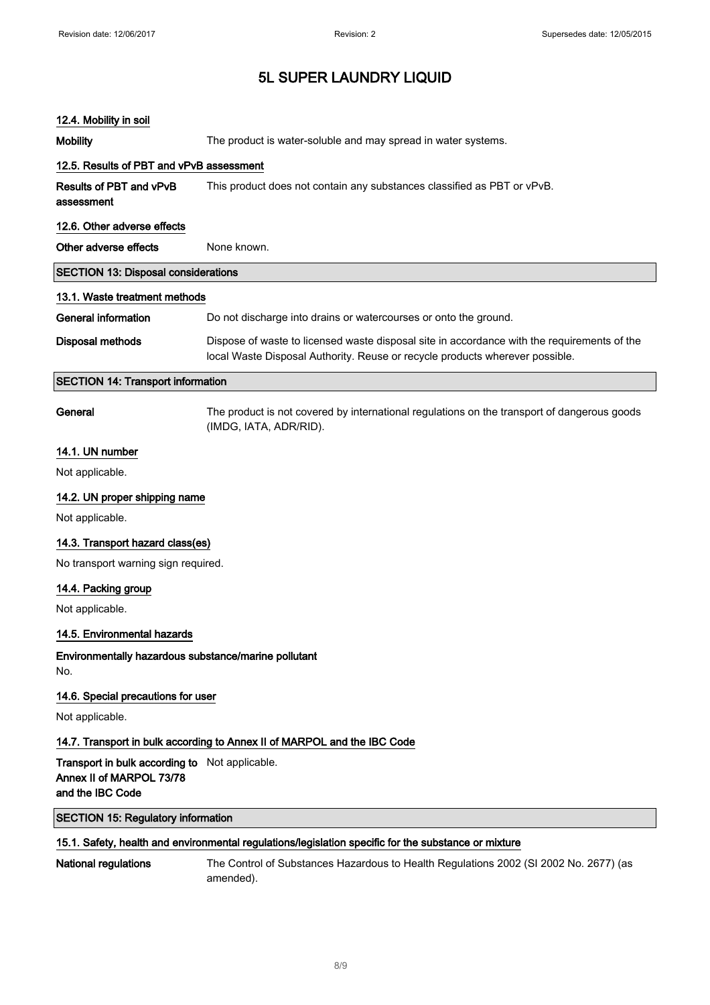#### 12.4. Mobility in soil

Mobility The product is water-soluble and may spread in water systems. 12.5. Results of PBT and vPvB assessment Results of PBT and vPvB assessment This product does not contain any substances classified as PBT or vPvB. 12.6. Other adverse effects Other adverse effects None known. SECTION 13: Disposal considerations 13.1. Waste treatment methods General information **Do not discharge into drains or watercourses or onto the ground.** Disposal methods Dispose of waste to licensed waste disposal site in accordance with the requirements of the local Waste Disposal Authority. Reuse or recycle products wherever possible. SECTION 14: Transport information General The product is not covered by international regulations on the transport of dangerous goods (IMDG, IATA, ADR/RID). 14.1. UN number Not applicable. 14.2. UN proper shipping name Not applicable. 14.3. Transport hazard class(es) No transport warning sign required. 14.4. Packing group Not applicable. 14.5. Environmental hazards Environmentally hazardous substance/marine pollutant No. 14.6. Special precautions for user Not applicable. 14.7. Transport in bulk according to Annex II of MARPOL and the IBC Code Transport in bulk according to Not applicable. Annex II of MARPOL 73/78 and the IBC Code SECTION 15: Regulatory information 15.1. Safety, health and environmental regulations/legislation specific for the substance or mixture National regulations The Control of Substances Hazardous to Health Regulations 2002 (SI 2002 No. 2677) (as amended).